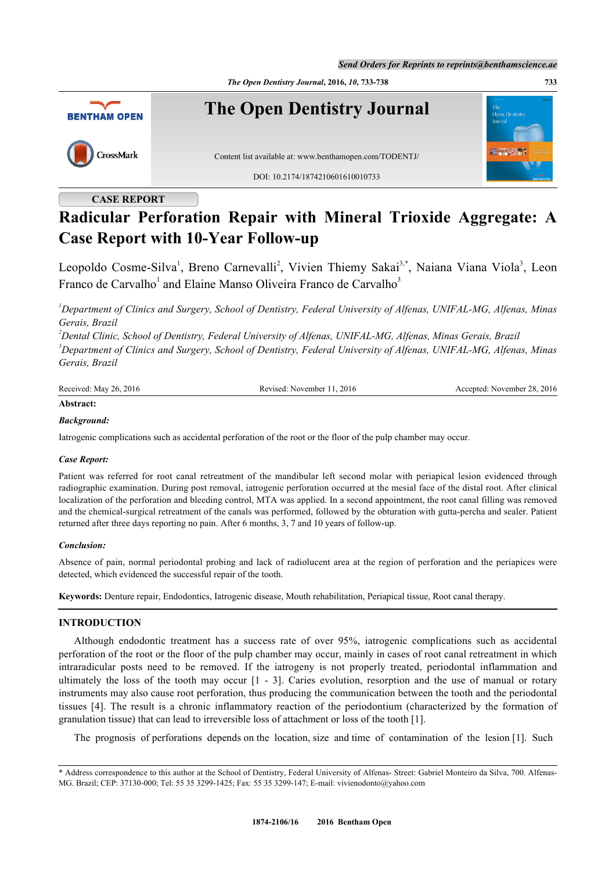*The Open Dentistry Journal***, 2016,** *10***, 733-738 733**



## **CASE REPORT**

# **Radicular Perforation Repair with Mineral Trioxide Aggregate: A Case Report with 10-Year Follow-up**

Leopoldo Cosme-Silva<sup>[1](#page-0-0)</sup>, Breno Carnevalli<sup>[2](#page-0-1)</sup>, Vivien Thiemy Sakai<sup>[3,](#page-0-2)[\\*](#page-0-3)</sup>, Naiana Viana Viola<sup>[3](#page-0-2)</sup>, Leon Franco de Carvalho<sup>[1](#page-0-0)</sup> and Elaine Manso Oliveira Franco de Carvalho<sup>[3](#page-0-2)</sup>

<span id="page-0-0"></span>*<sup>1</sup>Department of Clinics and Surgery, School of Dentistry, Federal University of Alfenas, UNIFAL-MG, Alfenas, Minas Gerais, Brazil*

<span id="page-0-2"></span><span id="page-0-1"></span>*<sup>2</sup>Dental Clinic, School of Dentistry, Federal University of Alfenas, UNIFAL-MG, Alfenas, Minas Gerais, Brazil <sup>3</sup>Department of Clinics and Surgery, School of Dentistry, Federal University of Alfenas, UNIFAL-MG, Alfenas, Minas Gerais, Brazil*

| Received: May 26, 2016 | Revised: November 11, 2016 | Accepted: November 28, 2016 |
|------------------------|----------------------------|-----------------------------|
| Abstract:              |                            |                             |

### *Background:*

Iatrogenic complications such as accidental perforation of the root or the floor of the pulp chamber may occur.

#### *Case Report:*

Patient was referred for root canal retreatment of the mandibular left second molar with periapical lesion evidenced through radiographic examination. During post removal, iatrogenic perforation occurred at the mesial face of the distal root. After clinical localization of the perforation and bleeding control, MTA was applied. In a second appointment, the root canal filling was removed and the chemical-surgical retreatment of the canals was performed, followed by the obturation with gutta-percha and sealer. Patient returned after three days reporting no pain. After 6 months, 3, 7 and 10 years of follow-up.

#### *Conclusion:*

Absence of pain, normal periodontal probing and lack of radiolucent area at the region of perforation and the periapices were detected, which evidenced the successful repair of the tooth.

**Keywords:** Denture repair, Endodontics, Iatrogenic disease, Mouth rehabilitation, Periapical tissue, Root canal therapy.

### **INTRODUCTION**

Although endodontic treatment has a success rate of over 95%, iatrogenic complications such as accidental perforation of the root or the floor of the pulp chamber may occur, mainly in cases of root canal retreatment in which intraradicular posts need to be removed. If the iatrogeny is not properly treated, periodontal inflammation and ultimately the loss of the tooth may occur[[1](#page-4-0) - [3\]](#page-4-1). Caries evolution, resorption and the use of manual or rotary instruments may also cause root perforation, thus producing the communication between the tooth and the periodontal tissues[[4\]](#page-4-2). The result is a chronic inflammatory reaction of the periodontium (characterized by the formation of granulation tissue) that can lead to irreversible loss of attachment or loss of the tooth [[1\]](#page-4-0).

The prognosis of perforations depends on the location, size and time of contamination of the lesion [[1\]](#page-4-0). Such

<span id="page-0-3"></span><sup>\*</sup> Address correspondence to this author at the School of Dentistry, Federal University of Alfenas- Street: Gabriel Monteiro da Silva, 700. Alfenas-MG. Brazil; CEP: 37130-000; Tel: 55 35 3299-1425; Fax: 55 35 3299-147; E-mail: [vivienodonto@yahoo.com](mailto:vivienodonto@yahoo.com)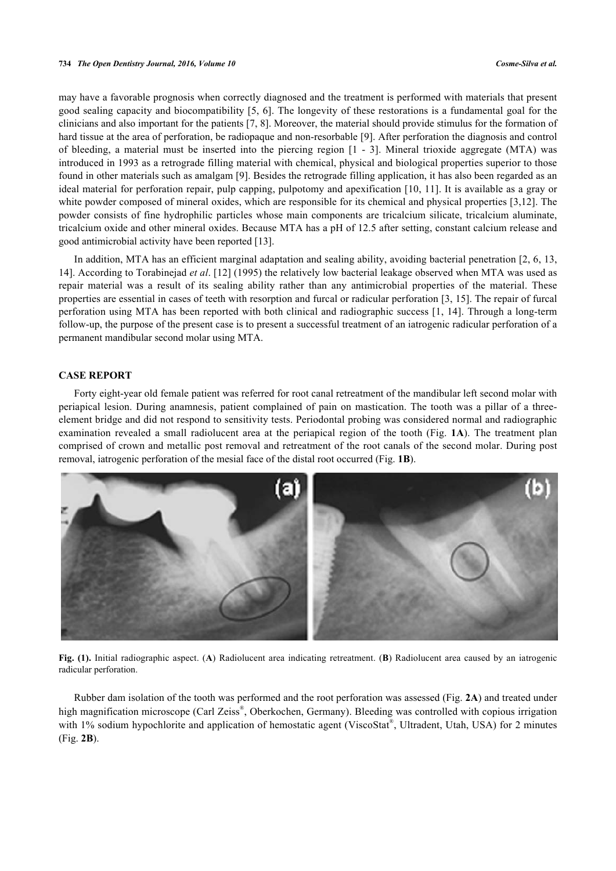may have a favorable prognosis when correctly diagnosed and the treatment is performed with materials that present good sealing capacity and biocompatibility [[5](#page-4-3), [6](#page-4-4)]. The longevity of these restorations is a fundamental goal for the clinicians and also important for the patients [\[7](#page-4-5), [8](#page-4-6)]. Moreover, the material should provide stimulus for the formation of hard tissue at the area of perforation, be radiopaque and non-resorbable [[9\]](#page-4-7). After perforation the diagnosis and control of bleeding, a material must be inserted into the piercing region[[1](#page-4-0) - [3\]](#page-4-1). Mineral trioxide aggregate (MTA) was introduced in 1993 as a retrograde filling material with chemical, physical and biological properties superior to those found in other materials such as amalgam [\[9](#page-4-7)]. Besides the retrograde filling application, it has also been regarded as an ideal material for perforation repair, pulp capping, pulpotomy and apexification [[10,](#page-4-8) [11\]](#page-4-9). It is available as a gray or white powder composed of mineral oxides, which are responsible for its chemical and physical properties [\[3](#page-4-1),[12](#page-4-10)]. The powder consists of fine hydrophilic particles whose main components are tricalcium silicate, tricalcium aluminate, tricalcium oxide and other mineral oxides. Because MTA has a pH of 12.5 after setting, constant calcium release and good antimicrobial activity have been reported [\[13](#page-5-0)].

In addition, MTA has an efficient marginal adaptation and sealing ability, avoiding bacterial penetration [\[2](#page-4-11), [6,](#page-4-4) [13](#page-5-0), [14\]](#page-5-1). According to Torabinejad *et al*. [[12](#page-4-10)] (1995) the relatively low bacterial leakage observed when MTA was used as repair material was a result of its sealing ability rather than any antimicrobial properties of the material. These properties are essential in cases of teeth with resorption and furcal or radicular perforation [[3](#page-4-1), [15](#page-5-2)]. The repair of furcal perforation using MTA has been reported with both clinical and radiographic success [\[1](#page-4-0), [14\]](#page-5-1). Through a long-term follow-up, the purpose of the present case is to present a successful treatment of an iatrogenic radicular perforation of a permanent mandibular second molar using MTA.

#### **CASE REPORT**

Forty eight-year old female patient was referred for root canal retreatment of the mandibular left second molar with periapical lesion. During anamnesis, patient complained of pain on mastication. The tooth was a pillar of a threeelement bridge and did not respond to sensitivity tests. Periodontal probing was considered normal and radiographic examination revealed a small radiolucent area at the periapical region of the tooth (Fig. **[1A](#page-1-0)**). The treatment plan comprised of crown and metallic post removal and retreatment of the root canals of the second molar. During post removal, iatrogenic perforation of the mesial face of the distal root occurred (Fig. **[1B](#page-1-0)**).

<span id="page-1-0"></span>

**Fig. (1).** Initial radiographic aspect. (**A**) Radiolucent area indicating retreatment. (**B**) Radiolucent area caused by an iatrogenic radicular perforation.

<span id="page-1-1"></span>Rubber dam isolation of the tooth was performed and the root perforation was assessed (Fig. **[2A](#page-1-1)**) and treated under high magnification microscope (Carl Zeiss®, Oberkochen, Germany). Bleeding was controlled with copious irrigation with 1% sodium hypochlorite and application of hemostatic agent (ViscoStat®, Ultradent, Utah, USA) for 2 minutes (Fig. **[2B](#page-1-1)**).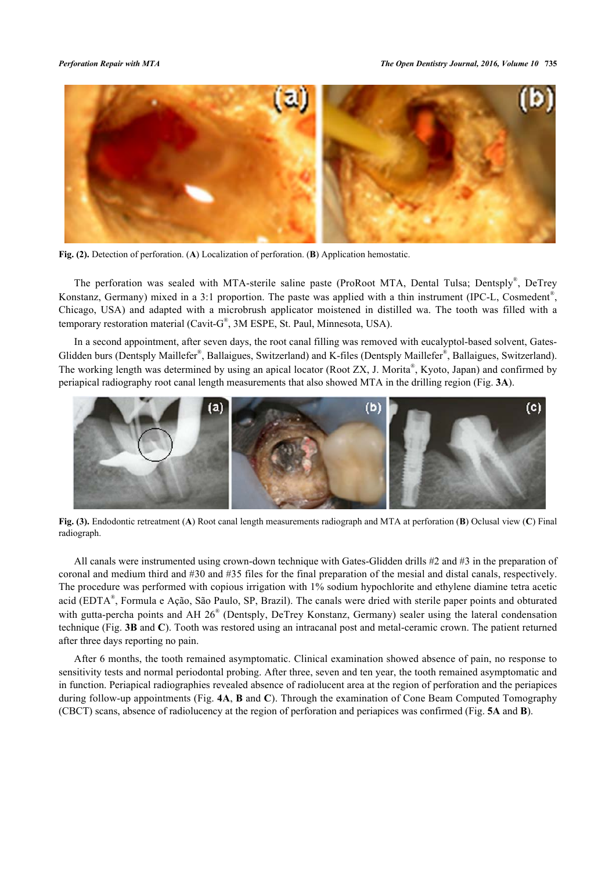

**Fig. (2).** Detection of perforation. (**A**) Localization of perforation. (**B**) Application hemostatic.

The perforation was sealed with MTA-sterile saline paste (ProRoot MTA, Dental Tulsa; Dentsply®, DeTrey Konstanz, Germany) mixed in a 3:1 proportion. The paste was applied with a thin instrument (IPC-L, Cosmedent<sup>®</sup>, Chicago, USA) and adapted with a microbrush applicator moistened in distilled wa. The tooth was filled with a temporary restoration material (Cavit-G® , 3M ESPE, St. Paul, Minnesota, USA).

In a second appointment, after seven days, the root canal filling was removed with eucalyptol-based solvent, Gates-Glidden burs (Dentsply Maillefer®, Ballaigues, Switzerland) and K-files (Dentsply Maillefer®, Ballaigues, Switzerland). The working length was determined by using an apical locator (Root ZX, J. Morita®, Kyoto, Japan) and confirmed by periapical radiography root canal length measurements that also showed MTA in the drilling region (Fig. **[3A](#page-2-0)**).

<span id="page-2-0"></span>

**Fig. (3).** Endodontic retreatment (**A**) Root canal length measurements radiograph and MTA at perforation (**B**) Oclusal view (**C**) Final radiograph.

All canals were instrumented using crown-down technique with Gates-Glidden drills #2 and #3 in the preparation of coronal and medium third and #30 and #35 files for the final preparation of the mesial and distal canals, respectively. The procedure was performed with copious irrigation with 1% sodium hypochlorite and ethylene diamine tetra acetic acid (EDTA® , Formula e Ação, São Paulo, SP, Brazil). The canals were dried with sterile paper points and obturated with gutta-percha points and AH 26<sup>®</sup> (Dentsply, DeTrey Konstanz, Germany) sealer using the lateral condensation technique (Fig. **[3B](#page-2-0)** and **[C](#page-2-0)**). Tooth was restored using an intracanal post and metal-ceramic crown. The patient returned after three days reporting no pain.

<span id="page-2-1"></span>After 6 months, the tooth remained asymptomatic. Clinical examination showed absence of pain, no response to sensitivity tests and normal periodontal probing. After three, seven and ten year, the tooth remained asymptomatic and in function. Periapical radiographies revealed absence of radiolucent area at the region of perforation and the periapices during follow-up appointments (Fig. **[4A](#page-2-1)**, **[B](#page-2-1)** and **[C](#page-2-1)**). Through the examination of Cone Beam Computed Tomography (CBCT) scans, absence of radiolucency at the region of perforation and periapices was confirmed (Fig. **[5A](#page-3-0)** and **[B](#page-3-0)**).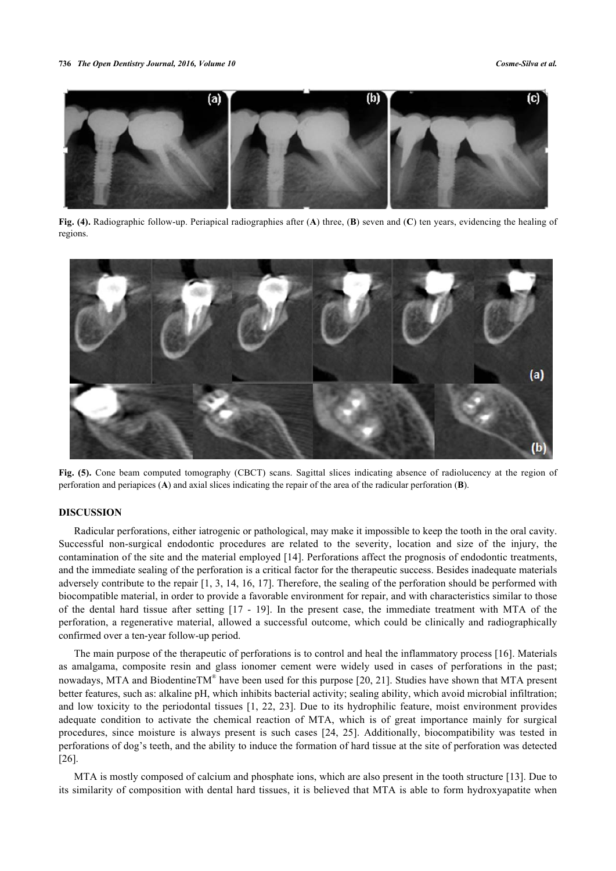

**Fig. (4).** Radiographic follow-up. Periapical radiographies after (**A**) three, (**B**) seven and (**C**) ten years, evidencing the healing of regions.

<span id="page-3-0"></span>

**Fig. (5).** Cone beam computed tomography (CBCT) scans. Sagittal slices indicating absence of radiolucency at the region of perforation and periapices (**A**) and axial slices indicating the repair of the area of the radicular perforation (**B**).

### **DISCUSSION**

Radicular perforations, either iatrogenic or pathological, may make it impossible to keep the tooth in the oral cavity. Successful non-surgical endodontic procedures are related to the severity, location and size of the injury, the contamination of the site and the material employed [[14\]](#page-5-1). Perforations affect the prognosis of endodontic treatments, and the immediate sealing of the perforation is a critical factor for the therapeutic success. Besides inadequate materials adversely contribute to the repair [[1,](#page-4-0) [3](#page-4-1), [14](#page-5-1), [16,](#page-5-3) [17](#page-5-4)]. Therefore, the sealing of the perforation should be performed with biocompatible material, in order to provide a favorable environment for repair, and with characteristics similar to those of the dental hard tissue after setting[[17](#page-5-4) - [19](#page-5-5)]. In the present case, the immediate treatment with MTA of the perforation, a regenerative material, allowed a successful outcome, which could be clinically and radiographically confirmed over a ten-year follow-up period.

The main purpose of the therapeutic of perforations is to control and heal the inflammatory process [[16\]](#page-5-3). Materials as amalgama, composite resin and glass ionomer cement were widely used in cases of perforations in the past; nowadays, MTA and BiodentineTM® have been used for this purpose [[20,](#page-5-6) [21](#page-5-7)]. Studies have shown that MTA present better features, such as: alkaline pH, which inhibits bacterial activity; sealing ability, which avoid microbial infiltration; and low toxicity to the periodontal tissues [[1](#page-4-0), [22,](#page-5-8) [23](#page-5-9)]. Due to its hydrophilic feature, moist environment provides adequate condition to activate the chemical reaction of MTA, which is of great importance mainly for surgical procedures, since moisture is always present is such cases [\[24,](#page-5-10) [25\]](#page-5-11). Additionally, biocompatibility was tested in perforations of dog's teeth, and the ability to induce the formation of hard tissue at the site of perforation was detected [\[26](#page-5-12)].

MTA is mostly composed of calcium and phosphate ions, which are also present in the tooth structure [[13\]](#page-5-0). Due to its similarity of composition with dental hard tissues, it is believed that MTA is able to form hydroxyapatite when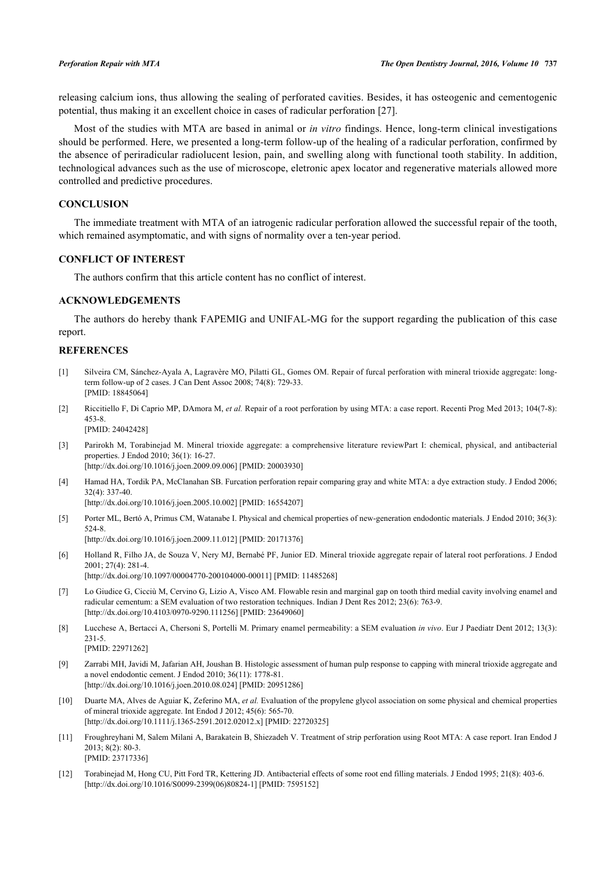releasing calcium ions, thus allowing the sealing of perforated cavities. Besides, it has osteogenic and cementogenic potential, thus making it an excellent choice in cases of radicular perforation [[27\]](#page-5-13).

Most of the studies with MTA are based in animal or *in vitro* findings. Hence, long-term clinical investigations should be performed. Here, we presented a long-term follow-up of the healing of a radicular perforation, confirmed by the absence of periradicular radiolucent lesion, pain, and swelling along with functional tooth stability. In addition, technological advances such as the use of microscope, eletronic apex locator and regenerative materials allowed more controlled and predictive procedures.

#### **CONCLUSION**

The immediate treatment with MTA of an iatrogenic radicular perforation allowed the successful repair of the tooth, which remained asymptomatic, and with signs of normality over a ten-year period.

### **CONFLICT OF INTEREST**

The authors confirm that this article content has no conflict of interest.

#### **ACKNOWLEDGEMENTS**

The authors do hereby thank FAPEMIG and UNIFAL-MG for the support regarding the publication of this case report.

#### **REFERENCES**

- <span id="page-4-0"></span>[1] Silveira CM, Sánchez-Ayala A, Lagravère MO, Pilatti GL, Gomes OM. Repair of furcal perforation with mineral trioxide aggregate: longterm follow-up of 2 cases. J Can Dent Assoc 2008; 74(8): 729-33. [PMID: [18845064\]](http://www.ncbi.nlm.nih.gov/pubmed/18845064)
- <span id="page-4-11"></span>[2] Riccitiello F, Di Caprio MP, DAmora M, *et al.* Repair of a root perforation by using MTA: a case report. Recenti Prog Med 2013; 104(7-8): 453-8. [PMID: [24042428\]](http://www.ncbi.nlm.nih.gov/pubmed/24042428)
- <span id="page-4-1"></span>[3] Parirokh M, Torabinejad M. Mineral trioxide aggregate: a comprehensive literature reviewPart I: chemical, physical, and antibacterial properties. J Endod 2010; 36(1): 16-27. [\[http://dx.doi.org/10.1016/j.joen.2009.09.006\]](http://dx.doi.org/10.1016/j.joen.2009.09.006) [PMID: [20003930](http://www.ncbi.nlm.nih.gov/pubmed/20003930)]
- <span id="page-4-2"></span>[4] Hamad HA, Tordik PA, McClanahan SB. Furcation perforation repair comparing gray and white MTA: a dye extraction study. J Endod 2006; 32(4): 337-40.

[\[http://dx.doi.org/10.1016/j.joen.2005.10.002\]](http://dx.doi.org/10.1016/j.joen.2005.10.002) [PMID: [16554207](http://www.ncbi.nlm.nih.gov/pubmed/16554207)]

- <span id="page-4-3"></span>[5] Porter ML, Bertó A, Primus CM, Watanabe I. Physical and chemical properties of new-generation endodontic materials. J Endod 2010; 36(3): 524-8. [\[http://dx.doi.org/10.1016/j.joen.2009.11.012\]](http://dx.doi.org/10.1016/j.joen.2009.11.012) [PMID: [20171376](http://www.ncbi.nlm.nih.gov/pubmed/20171376)]
- <span id="page-4-4"></span>[6] Holland R, Filho JA, de Souza V, Nery MJ, Bernabé PF, Junior ED. Mineral trioxide aggregate repair of lateral root perforations. J Endod 2001; 27(4): 281-4. [\[http://dx.doi.org/10.1097/00004770-200104000-00011](http://dx.doi.org/10.1097/00004770-200104000-00011)] [PMID: [11485268\]](http://www.ncbi.nlm.nih.gov/pubmed/11485268)
- <span id="page-4-5"></span>[7] Lo Giudice G, Cicciù M, Cervino G, Lizio A, Visco AM. Flowable resin and marginal gap on tooth third medial cavity involving enamel and radicular cementum: a SEM evaluation of two restoration techniques. Indian J Dent Res 2012; 23(6): 763-9. [\[http://dx.doi.org/10.4103/0970-9290.111256](http://dx.doi.org/10.4103/0970-9290.111256)] [PMID: [23649060](http://www.ncbi.nlm.nih.gov/pubmed/23649060)]
- <span id="page-4-6"></span>[8] Lucchese A, Bertacci A, Chersoni S, Portelli M. Primary enamel permeability: a SEM evaluation *in vivo*. Eur J Paediatr Dent 2012; 13(3): 231-5. [PMID: [22971262\]](http://www.ncbi.nlm.nih.gov/pubmed/22971262)
- <span id="page-4-7"></span>[9] Zarrabi MH, Javidi M, Jafarian AH, Joushan B. Histologic assessment of human pulp response to capping with mineral trioxide aggregate and a novel endodontic cement. J Endod 2010; 36(11): 1778-81. [\[http://dx.doi.org/10.1016/j.joen.2010.08.024\]](http://dx.doi.org/10.1016/j.joen.2010.08.024) [PMID: [20951286](http://www.ncbi.nlm.nih.gov/pubmed/20951286)]
- <span id="page-4-8"></span>[10] Duarte MA, Alves de Aguiar K, Zeferino MA, *et al.* Evaluation of the propylene glycol association on some physical and chemical properties of mineral trioxide aggregate. Int Endod J 2012; 45(6): 565-70. [\[http://dx.doi.org/10.1111/j.1365-2591.2012.02012.x\]](http://dx.doi.org/10.1111/j.1365-2591.2012.02012.x) [PMID: [22720325](http://www.ncbi.nlm.nih.gov/pubmed/22720325)]
- <span id="page-4-9"></span>[11] Froughreyhani M, Salem Milani A, Barakatein B, Shiezadeh V. Treatment of strip perforation using Root MTA: A case report. Iran Endod J 2013; 8(2): 80-3. [PMID: [23717336\]](http://www.ncbi.nlm.nih.gov/pubmed/23717336)
- <span id="page-4-10"></span>[12] Torabinejad M, Hong CU, Pitt Ford TR, Kettering JD. Antibacterial effects of some root end filling materials. J Endod 1995; 21(8): 403-6. [\[http://dx.doi.org/10.1016/S0099-2399\(06\)80824-1\]](http://dx.doi.org/10.1016/S0099-2399(06)80824-1) [PMID: [7595152](http://www.ncbi.nlm.nih.gov/pubmed/7595152)]